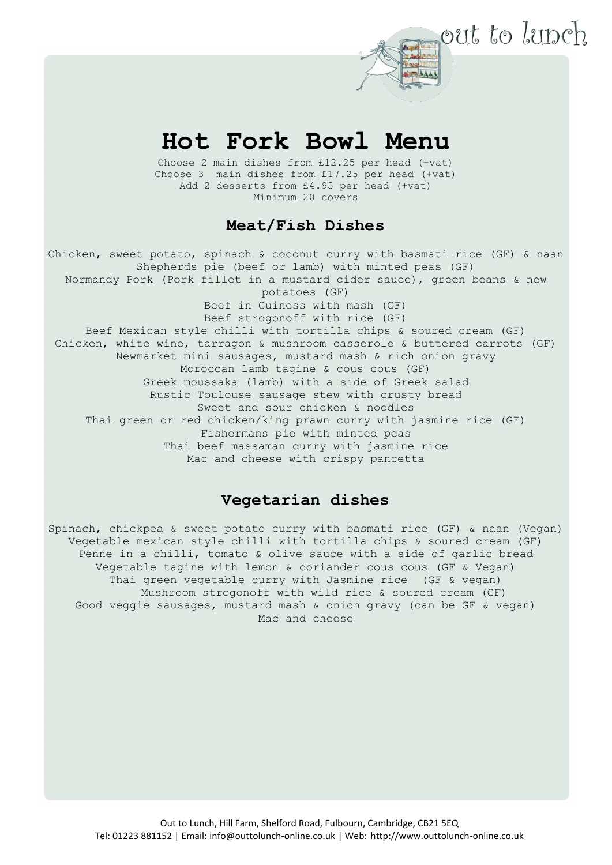# **Hot Fork Bowl Menu**

out to lunch

Choose 2 main dishes from £12.25 per head (+vat) Choose 3 main dishes from £17.25 per head (+vat) Add 2 desserts from £4.95 per head (+vat) Minimum 20 covers

## **Meat/Fish Dishes**

Chicken, sweet potato, spinach & coconut curry with basmati rice (GF) & naan Shepherds pie (beef or lamb) with minted peas (GF) Normandy Pork (Pork fillet in a mustard cider sauce), green beans & new potatoes (GF) Beef in Guiness with mash (GF) Beef strogonoff with rice (GF) Beef Mexican style chilli with tortilla chips & soured cream (GF) Chicken, white wine, tarragon & mushroom casserole & buttered carrots (GF) Newmarket mini sausages, mustard mash & rich onion gravy Moroccan lamb tagine & cous cous (GF) Greek moussaka (lamb) with a side of Greek salad Rustic Toulouse sausage stew with crusty bread Sweet and sour chicken & noodles Thai green or red chicken/king prawn curry with jasmine rice (GF) Fishermans pie with minted peas Thai beef massaman curry with jasmine rice Mac and cheese with crispy pancetta

### **Vegetarian dishes**

Spinach, chickpea & sweet potato curry with basmati rice (GF) & naan (Vegan) Vegetable mexican style chilli with tortilla chips & soured cream (GF) Penne in a chilli, tomato & olive sauce with a side of garlic bread Vegetable tagine with lemon & coriander cous cous (GF & Vegan) Thai green vegetable curry with Jasmine rice (GF & vegan) Mushroom strogonoff with wild rice & soured cream (GF) Good veggie sausages, mustard mash & onion gravy (can be GF & vegan) Mac and cheese